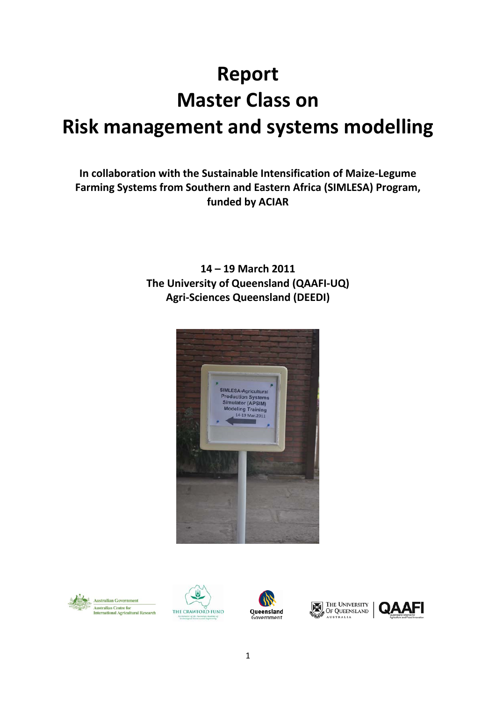# **Report Master Class on Risk management and systems modelling**

**In collaboration with the Sustainable Intensification of Maize-Legume Farming Systems from Southern and Eastern Africa (SIMLESA) Program, funded by ACIAR**

> **14 – 19 March 2011 The University of Queensland (QAAFI-UQ) Agri-Sciences Queensland (DEEDI)**









THE UNIVERSITY **AUSTRALIA** 

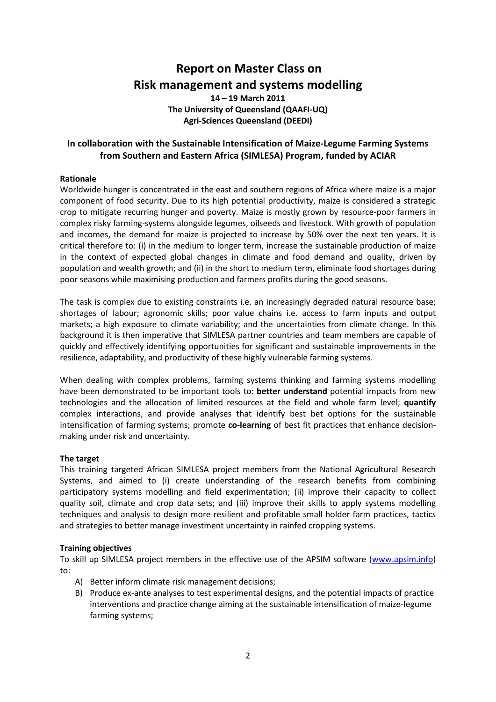# **Report on Master Class on Risk management and systems modelling**

**14 – 19 March 2011 The University of Queensland (QAAFI-UQ) Agri-Sciences Queensland (DEEDI)**

# **In collaboration with the Sustainable Intensification of Maize-Legume Farming Systems from Southern and Eastern Africa (SIMLESA) Program, funded by ACIAR**

# **Rationale**

Worldwide hunger is concentrated in the east and southern regions of Africa where maize is a major component of food security. Due to its high potential productivity, maize is considered a strategic crop to mitigate recurring hunger and poverty. Maize is mostly grown by resource-poor farmers in complex risky farming-systems alongside legumes, oilseeds and livestock. With growth of population and incomes, the demand for maize is projected to increase by 50% over the next ten years. It is critical therefore to: (i) in the medium to longer term, increase the sustainable production of maize in the context of expected global changes in climate and food demand and quality, driven by population and wealth growth; and (ii) in the short to medium term, eliminate food shortages during poor seasons while maximising production and farmers profits during the good seasons.

The task is complex due to existing constraints i.e. an increasingly degraded natural resource base; shortages of labour; agronomic skills; poor value chains i.e. access to farm inputs and output markets; a high exposure to climate variability; and the uncertainties from climate change. In this background it is then imperative that SIMLESA partner countries and team members are capable of quickly and effectively identifying opportunities for significant and sustainable improvements in the resilience, adaptability, and productivity of these highly vulnerable farming systems.

When dealing with complex problems, farming systems thinking and farming systems modelling have been demonstrated to be important tools to: **better understand** potential impacts from new technologies and the allocation of limited resources at the field and whole farm level; **quantify**  complex interactions, and provide analyses that identify best bet options for the sustainable intensification of farming systems; promote **co-learning** of best fit practices that enhance decisionmaking under risk and uncertainty.

# **The target**

This training targeted African SIMLESA project members from the National Agricultural Research Systems, and aimed to (i) create understanding of the research benefits from combining participatory systems modelling and field experimentation; (ii) improve their capacity to collect quality soil, climate and crop data sets; and (iii) improve their skills to apply systems modelling techniques and analysis to design more resilient and profitable small holder farm practices, tactics and strategies to better manage investment uncertainty in rainfed cropping systems.

# **Training objectives**

To skill up SIMLESA project members in the effective use of the APSIM software [\(www.apsim.info\)](http://www.apsim.info/) to:

- A) Better inform climate risk management decisions;
- B) Produce ex-ante analyses to test experimental designs, and the potential impacts of practice interventions and practice change aiming at the sustainable intensification of maize-legume farming systems;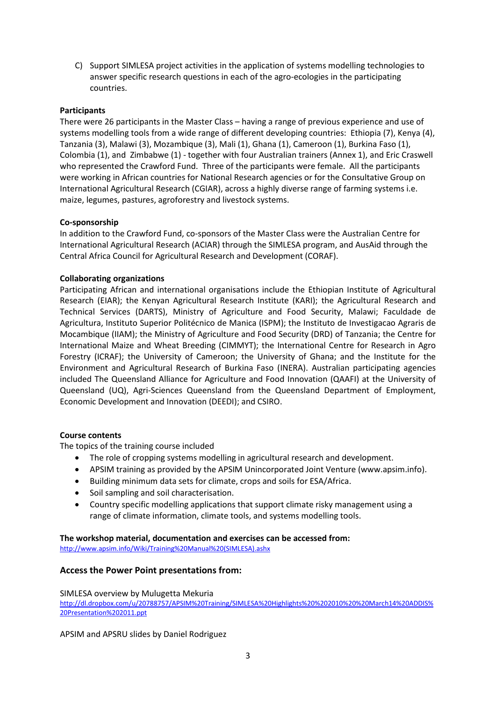C) Support SIMLESA project activities in the application of systems modelling technologies to answer specific research questions in each of the agro-ecologies in the participating countries.

# **Participants**

There were 26 participants in the Master Class – having a range of previous experience and use of systems modelling tools from a wide range of different developing countries: Ethiopia (7), Kenya (4), Tanzania (3), Malawi (3), Mozambique (3), Mali (1), Ghana (1), Cameroon (1), Burkina Faso (1), Colombia (1), and Zimbabwe (1) - together with four Australian trainers (Annex 1), and Eric Craswell who represented the Crawford Fund. Three of the participants were female. All the participants were working in African countries for National Research agencies or for the Consultative Group on International Agricultural Research (CGIAR), across a highly diverse range of farming systems i.e. maize, legumes, pastures, agroforestry and livestock systems.

# **Co-sponsorship**

In addition to the Crawford Fund, co-sponsors of the Master Class were the Australian Centre for International Agricultural Research (ACIAR) through the SIMLESA program, and AusAid through the Central Africa Council for Agricultural Research and Development (CORAF).

# **Collaborating organizations**

Participating African and international organisations include the Ethiopian Institute of Agricultural Research (EIAR); the Kenyan Agricultural Research Institute (KARI); the Agricultural Research and Technical Services (DARTS), Ministry of Agriculture and Food Security, Malawi; Faculdade de Agricultura, Instituto Superior Politécnico de Manica (ISPM); the Instituto de Investigacao Agraris de Mocambique (IIAM); the Ministry of Agriculture and Food Security (DRD) of Tanzania; the Centre for International Maize and Wheat Breeding (CIMMYT); the International Centre for Research in Agro Forestry (ICRAF); the University of Cameroon; the University of Ghana; and the Institute for the Environment and Agricultural Research of Burkina Faso (INERA). Australian participating agencies included The Queensland Alliance for Agriculture and Food Innovation (QAAFI) at the University of Queensland (UQ), Agri-Sciences Queensland from the Queensland Department of Employment, Economic Development and Innovation (DEEDI); and CSIRO.

# **Course contents**

The topics of the training course included

- The role of cropping systems modelling in agricultural research and development.
- APSIM training as provided by the APSIM Unincorporated Joint Venture (www.apsim.info).
- Building minimum data sets for climate, crops and soils for ESA/Africa.
- Soil sampling and soil characterisation.
- Country specific modelling applications that support climate risky management using a range of climate information, climate tools, and systems modelling tools.

# **The workshop material, documentation and exercises can be accessed from:**

[http://www.apsim.info/Wiki/Training%20Manual%20\(SIMLESA\).ashx](http://www.apsim.info/Wiki/Training%20Manual%20(SIMLESA).ashx)

# **Access the Power Point presentations from:**

# SIMLESA overview by Mulugetta Mekuria

[http://dl.dropbox.com/u/20788757/APSIM%20Training/SIMLESA%20Highlights%20%202010%20%20March14%20ADDIS%](http://dl.dropbox.com/u/20788757/APSIM%20Training/SIMLESA%20Highlights%20%202010%20%20March14%20ADDIS%20Presentation%202011.ppt) [20Presentation%202011.ppt](http://dl.dropbox.com/u/20788757/APSIM%20Training/SIMLESA%20Highlights%20%202010%20%20March14%20ADDIS%20Presentation%202011.ppt)

APSIM and APSRU slides by Daniel Rodriguez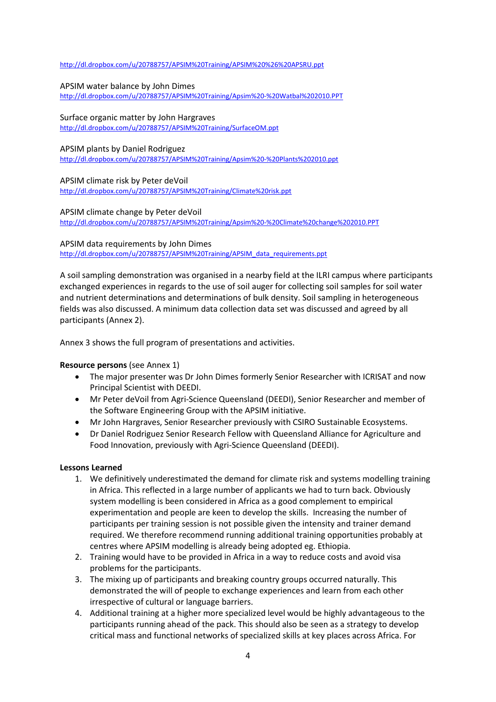#### <http://dl.dropbox.com/u/20788757/APSIM%20Training/APSIM%20%26%20APSRU.ppt>

#### APSIM water balance by John Dimes

<http://dl.dropbox.com/u/20788757/APSIM%20Training/Apsim%20-%20Watbal%202010.PPT>

# Surface organic matter by John Hargraves

<http://dl.dropbox.com/u/20788757/APSIM%20Training/SurfaceOM.ppt>

#### APSIM plants by Daniel Rodriguez

<http://dl.dropbox.com/u/20788757/APSIM%20Training/Apsim%20-%20Plants%202010.ppt>

#### APSIM climate risk by Peter deVoil <http://dl.dropbox.com/u/20788757/APSIM%20Training/Climate%20risk.ppt>

#### APSIM climate change by Peter deVoil

<http://dl.dropbox.com/u/20788757/APSIM%20Training/Apsim%20-%20Climate%20change%202010.PPT>

#### APSIM data requirements by John Dimes

[http://dl.dropbox.com/u/20788757/APSIM%20Training/APSIM\\_data\\_requirements.ppt](http://dl.dropbox.com/u/20788757/APSIM%20Training/APSIM_data_requirements.ppt)

A soil sampling demonstration was organised in a nearby field at the ILRI campus where participants exchanged experiences in regards to the use of soil auger for collecting soil samples for soil water and nutrient determinations and determinations of bulk density. Soil sampling in heterogeneous fields was also discussed. A minimum data collection data set was discussed and agreed by all participants (Annex 2).

Annex 3 shows the full program of presentations and activities.

# **Resource persons** (see Annex 1)

- The major presenter was Dr John Dimes formerly Senior Researcher with ICRISAT and now Principal Scientist with DEEDI.
- Mr Peter deVoil from Agri-Science Queensland (DEEDI), Senior Researcher and member of the Software Engineering Group with the APSIM initiative.
- Mr John Hargraves, Senior Researcher previously with CSIRO Sustainable Ecosystems.
- Dr Daniel Rodriguez Senior Research Fellow with Queensland Alliance for Agriculture and Food Innovation, previously with Agri-Science Queensland (DEEDI).

#### **Lessons Learned**

- 1. We definitively underestimated the demand for climate risk and systems modelling training in Africa. This reflected in a large number of applicants we had to turn back. Obviously system modelling is been considered in Africa as a good complement to empirical experimentation and people are keen to develop the skills. Increasing the number of participants per training session is not possible given the intensity and trainer demand required. We therefore recommend running additional training opportunities probably at centres where APSIM modelling is already being adopted eg. Ethiopia.
- 2. Training would have to be provided in Africa in a way to reduce costs and avoid visa problems for the participants.
- 3. The mixing up of participants and breaking country groups occurred naturally. This demonstrated the will of people to exchange experiences and learn from each other irrespective of cultural or language barriers.
- 4. Additional training at a higher more specialized level would be highly advantageous to the participants running ahead of the pack. This should also be seen as a strategy to develop critical mass and functional networks of specialized skills at key places across Africa. For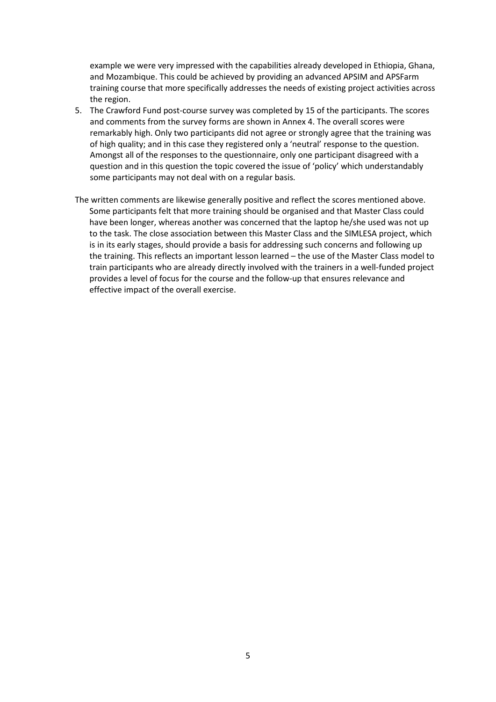example we were very impressed with the capabilities already developed in Ethiopia, Ghana, and Mozambique. This could be achieved by providing an advanced APSIM and APSFarm training course that more specifically addresses the needs of existing project activities across the region.

- 5. The Crawford Fund post-course survey was completed by 15 of the participants. The scores and comments from the survey forms are shown in Annex 4. The overall scores were remarkably high. Only two participants did not agree or strongly agree that the training was of high quality; and in this case they registered only a 'neutral' response to the question. Amongst all of the responses to the questionnaire, only one participant disagreed with a question and in this question the topic covered the issue of 'policy' which understandably some participants may not deal with on a regular basis.
- The written comments are likewise generally positive and reflect the scores mentioned above. Some participants felt that more training should be organised and that Master Class could have been longer, whereas another was concerned that the laptop he/she used was not up to the task. The close association between this Master Class and the SIMLESA project, which is in its early stages, should provide a basis for addressing such concerns and following up the training. This reflects an important lesson learned – the use of the Master Class model to train participants who are already directly involved with the trainers in a well-funded project provides a level of focus for the course and the follow-up that ensures relevance and effective impact of the overall exercise.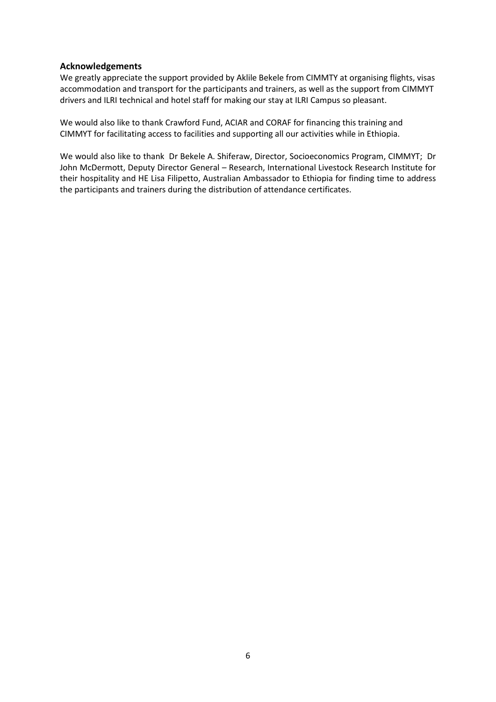# **Acknowledgements**

We greatly appreciate the support provided by Aklile Bekele from CIMMTY at organising flights, visas accommodation and transport for the participants and trainers, as well as the support from CIMMYT drivers and ILRI technical and hotel staff for making our stay at ILRI Campus so pleasant.

We would also like to thank Crawford Fund, ACIAR and CORAF for financing this training and CIMMYT for facilitating access to facilities and supporting all our activities while in Ethiopia.

We would also like to thank Dr Bekele A. Shiferaw, Director, Socioeconomics Program, CIMMYT; Dr John McDermott, Deputy Director General – Research, International Livestock Research Institute for their hospitality and HE Lisa Filipetto, Australian Ambassador to Ethiopia for finding time to address the participants and trainers during the distribution of attendance certificates.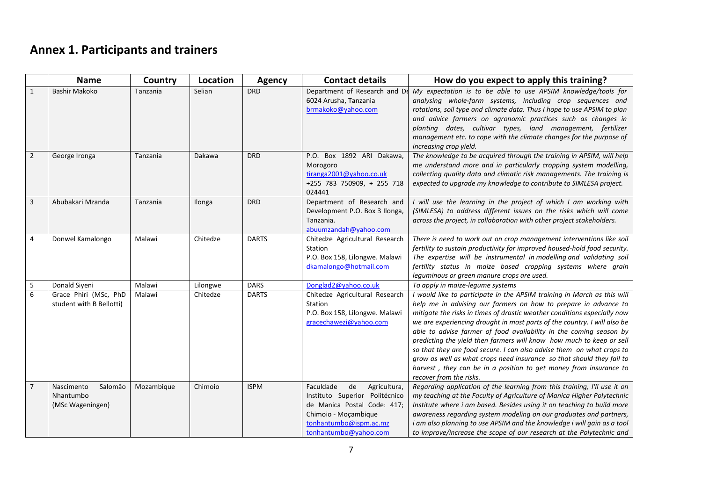# **Annex 1. Participants and trainers**

|                | <b>Name</b>                                            | Country    | Location | <b>Agency</b> | <b>Contact details</b>                                                                                                                                                      | How do you expect to apply this training?                                                                                                                                                                                                                                                                                                                                                                                                                                                                                                                                                                                                                                                          |  |  |  |  |
|----------------|--------------------------------------------------------|------------|----------|---------------|-----------------------------------------------------------------------------------------------------------------------------------------------------------------------------|----------------------------------------------------------------------------------------------------------------------------------------------------------------------------------------------------------------------------------------------------------------------------------------------------------------------------------------------------------------------------------------------------------------------------------------------------------------------------------------------------------------------------------------------------------------------------------------------------------------------------------------------------------------------------------------------------|--|--|--|--|
| $\mathbf{1}$   | <b>Bashir Makoko</b>                                   | Tanzania   | Selian   | <b>DRD</b>    | Department of Research and D<br>6024 Arusha, Tanzania<br>brmakoko@yahoo.com                                                                                                 | My expectation is to be able to use APSIM knowledge/tools for<br>analysing whole-farm systems, including crop sequences and<br>rotations, soil type and climate data. Thus I hope to use APSIM to plan<br>and advice farmers on agronomic practices such as changes in<br>planting dates, cultivar types, land management, fertilizer<br>management etc. to cope with the climate changes for the purpose of<br>increasing crop yield.                                                                                                                                                                                                                                                             |  |  |  |  |
| $\overline{2}$ | George Ironga                                          | Tanzania   | Dakawa   | <b>DRD</b>    | P.O. Box 1892 ARI Dakawa,<br>Morogoro<br>tiranga2001@yahoo.co.uk<br>+255 783 750909, + 255 718<br>024441                                                                    | The knowledge to be acquired through the training in APSIM, will help<br>me understand more and in particularly cropping system modelling,<br>collecting quality data and climatic risk managements. The training is<br>expected to upgrade my knowledge to contribute to SIMLESA project.                                                                                                                                                                                                                                                                                                                                                                                                         |  |  |  |  |
| $\overline{3}$ | Abubakari Mzanda                                       | Tanzania   | Ilonga   | <b>DRD</b>    | Department of Research and<br>Development P.O. Box 3 Ilonga,<br>Tanzania.<br>abuumzandah@yahoo.com                                                                          | I will use the learning in the project of which I am working with<br>(SIMLESA) to address different issues on the risks which will come<br>across the project, in collaboration with other project stakeholders.                                                                                                                                                                                                                                                                                                                                                                                                                                                                                   |  |  |  |  |
| 4              | Donwel Kamalongo                                       | Malawi     | Chitedze | <b>DARTS</b>  | Chitedze Agricultural Research<br>Station<br>P.O. Box 158, Lilongwe. Malawi<br>dkamalongo@hotmail.com                                                                       | There is need to work out on crop management interventions like soil<br>fertility to sustain productivity for improved housed-hold food security.<br>The expertise will be instrumental in modelling and validating soil<br>fertility status in maize based cropping systems where grain<br>leguminous or green manure crops are used.                                                                                                                                                                                                                                                                                                                                                             |  |  |  |  |
| 5              | Donald Siyeni                                          | Malawi     | Lilongwe | <b>DARS</b>   | Donglad2@yahoo.co.uk                                                                                                                                                        | To apply in maize-legume systems                                                                                                                                                                                                                                                                                                                                                                                                                                                                                                                                                                                                                                                                   |  |  |  |  |
| 6              | Grace Phiri (MSc, PhD<br>student with B Bellotti)      | Malawi     | Chitedze | <b>DARTS</b>  | Chitedze Agricultural Research<br><b>Station</b><br>P.O. Box 158, Lilongwe. Malawi<br>gracechawezi@yahoo.com                                                                | I would like to participate in the APSIM training in March as this will<br>help me in advising our farmers on how to prepare in advance to<br>mitigate the risks in times of drastic weather conditions especially now<br>we are experiencing drought in most parts of the country. I will also be<br>able to advise farmer of food availability in the coming season by<br>predicting the yield then farmers will know how much to keep or sell<br>so that they are food secure. I can also advise them on what crops to<br>grow as well as what crops need insurance so that should they fail to<br>harvest, they can be in a position to get money from insurance to<br>recover from the risks. |  |  |  |  |
| $\overline{7}$ | Nascimento<br>Salomão<br>Nhantumbo<br>(MSc Wageningen) | Mozambique | Chimoio  | <b>ISPM</b>   | Faculdade<br>de<br>Agricultura,<br>Instituto Superior Politécnico<br>de Manica Postal Code: 417;<br>Chimoio - Moçambique<br>tonhantumbo@ispm.ac.mz<br>tonhantumbo@yahoo.com | Regarding application of the learning from this training, I'll use it on<br>my teaching at the Faculty of Agriculture of Manica Higher Polytechnic<br>Institute where i am based. Besides using it on teaching to build more<br>awareness regarding system modeling on our graduates and partners,<br>i am also planning to use APSIM and the knowledge i will gain as a tool<br>to improve/increase the scope of our research at the Polytechnic and                                                                                                                                                                                                                                              |  |  |  |  |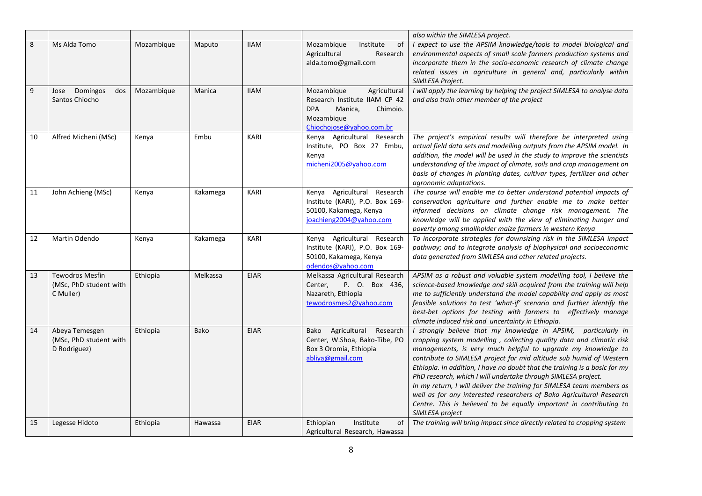|    |                                                               |            |          |             |                                                                                                                                            | also within the SIMLESA project.                                                                                                                                                                                                                                                                                                                                                                                                                                                                                                                                                                                                                                        |
|----|---------------------------------------------------------------|------------|----------|-------------|--------------------------------------------------------------------------------------------------------------------------------------------|-------------------------------------------------------------------------------------------------------------------------------------------------------------------------------------------------------------------------------------------------------------------------------------------------------------------------------------------------------------------------------------------------------------------------------------------------------------------------------------------------------------------------------------------------------------------------------------------------------------------------------------------------------------------------|
| 8  | Ms Alda Tomo                                                  | Mozambique | Maputo   | <b>IIAM</b> | Mozambique<br>Institute<br>of<br>Agricultural<br>Research<br>alda.tomo@gmail.com                                                           | I expect to use the APSIM knowledge/tools to model biological and<br>environmental aspects of small scale farmers production systems and<br>incorporate them in the socio-economic research of climate change<br>related issues in agriculture in general and, particularly within<br>SIMLESA Project.                                                                                                                                                                                                                                                                                                                                                                  |
| 9  | Domingos<br>dos<br>Jose<br>Santos Chiocho                     | Mozambique | Manica   | <b>IIAM</b> | Mozambique<br>Agricultural<br>Research Institute IIAM CP 42<br><b>DPA</b><br>Chimoio.<br>Manica,<br>Mozambique<br>Chiochojose@yahoo.com.br | I will apply the learning by helping the project SIMLESA to analyse data<br>and also train other member of the project                                                                                                                                                                                                                                                                                                                                                                                                                                                                                                                                                  |
| 10 | Alfred Micheni (MSc)                                          | Kenya      | Embu     | KARI        | Kenya Agricultural Research<br>Institute, PO Box 27 Embu,<br>Kenya<br>micheni2005@yahoo.com                                                | The project's empirical results will therefore be interpreted using<br>actual field data sets and modelling outputs from the APSIM model. In<br>addition, the model will be used in the study to improve the scientists<br>understanding of the impact of climate, soils and crop management on<br>basis of changes in planting dates, cultivar types, fertilizer and other<br>agronomic adaptations.                                                                                                                                                                                                                                                                   |
| 11 | John Achieng (MSc)                                            | Kenya      | Kakamega | <b>KARI</b> | Kenya Agricultural Research<br>Institute (KARI), P.O. Box 169-<br>50100, Kakamega, Kenya<br>joachieng2004@yahoo.com                        | The course will enable me to better understand potential impacts of<br>conservation agriculture and further enable me to make better<br>informed decisions on climate change risk management. The<br>knowledge will be applied with the view of eliminating hunger and<br>poverty among smallholder maize farmers in western Kenya                                                                                                                                                                                                                                                                                                                                      |
| 12 | Martin Odendo                                                 | Kenya      | Kakamega | KARI        | Kenya Agricultural Research<br>Institute (KARI), P.O. Box 169-<br>50100, Kakamega, Kenya<br>odendos@yahoo.com                              | To incorporate strategies for downsizing risk in the SIMLESA impact<br>pathway; and to integrate analysis of biophysical and socioeconomic<br>data generated from SIMLESA and other related projects.                                                                                                                                                                                                                                                                                                                                                                                                                                                                   |
| 13 | <b>Tewodros Mesfin</b><br>(MSc, PhD student with<br>C Muller) | Ethiopia   | Melkassa | <b>EIAR</b> | Melkassa Agricultural Research<br>Center,<br>P. O. Box 436,<br>Nazareth, Ethiopia<br>tewodrosmes2@yahoo.com                                | APSIM as a robust and valuable system modelling tool, I believe the<br>science-based knowledge and skill acquired from the training will help<br>me to sufficiently understand the model capability and apply as most<br>feasible solutions to test 'what-if' scenario and further identify the<br>best-bet options for testing with farmers to effectively manage<br>climate induced risk and uncertainty in Ethiopia.                                                                                                                                                                                                                                                 |
| 14 | Abeya Temesgen<br>(MSc, PhD student with<br>D Rodriguez)      | Ethiopia   | Bako     | <b>EIAR</b> | Agricultural Research<br>Bako<br>Center, W.Shoa, Bako-Tibe, PO<br>Box 3 Oromia, Ethiopia<br>abliya@gmail.com                               | I strongly believe that my knowledge in APSIM, particularly in<br>cropping system modelling, collecting quality data and climatic risk<br>managements, is very much helpful to upgrade my knowledge to<br>contribute to SIMLESA project for mid altitude sub humid of Western<br>Ethiopia. In addition, I have no doubt that the training is a basic for my<br>PhD research, which I will undertake through SIMLESA project.<br>In my return, I will deliver the training for SIMLESA team members as<br>well as for any interested researchers of Bako Agricultural Research<br>Centre. This is believed to be equally important in contributing to<br>SIMLESA project |
| 15 | Legesse Hidoto                                                | Ethiopia   | Hawassa  | <b>EIAR</b> | Institute<br>of<br>Ethiopian<br>Agricultural Research, Hawassa                                                                             | The training will bring impact since directly related to cropping system                                                                                                                                                                                                                                                                                                                                                                                                                                                                                                                                                                                                |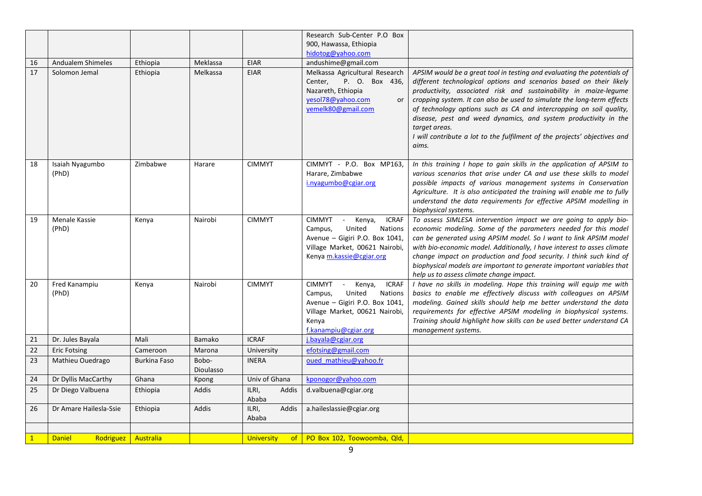|    |                                   |                     |                    |                         | Research Sub-Center P.O Box<br>900, Hawassa, Ethiopia                                                                                                                                         |                                                                                                                                                                                                                                                                                                                                                                                                                                                                                                                                               |
|----|-----------------------------------|---------------------|--------------------|-------------------------|-----------------------------------------------------------------------------------------------------------------------------------------------------------------------------------------------|-----------------------------------------------------------------------------------------------------------------------------------------------------------------------------------------------------------------------------------------------------------------------------------------------------------------------------------------------------------------------------------------------------------------------------------------------------------------------------------------------------------------------------------------------|
|    |                                   |                     |                    |                         | hidotog@yahoo.com                                                                                                                                                                             |                                                                                                                                                                                                                                                                                                                                                                                                                                                                                                                                               |
| 16 | Andualem Shimeles                 | Ethiopia            | Meklassa           | <b>EIAR</b>             | andushime@gmail.com                                                                                                                                                                           |                                                                                                                                                                                                                                                                                                                                                                                                                                                                                                                                               |
| 17 | Solomon Jemal                     | Ethiopia            | Melkassa           | <b>EIAR</b>             | Melkassa Agricultural Research<br>P. O. Box 436,<br>Center,<br>Nazareth, Ethiopia<br>yesol78@yahoo.com<br>or<br>yemelk80@gmail.com                                                            | APSIM would be a great tool in testing and evaluating the potentials of<br>different technological options and scenarios based on their likely<br>productivity, associated risk and sustainability in maize-legume<br>cropping system. It can also be used to simulate the long-term effects<br>of technology options such as CA and intercropping on soil quality,<br>disease, pest and weed dynamics, and system productivity in the<br>target areas.<br>I will contribute a lot to the fulfilment of the projects' objectives and<br>aims. |
| 18 | Isaiah Nyagumbo<br>(PhD)          | Zimbabwe            | Harare             | <b>CIMMYT</b>           | CIMMYT - P.O. Box MP163,<br>Harare, Zimbabwe<br>i.nyagumbo@cgiar.org                                                                                                                          | In this training I hope to gain skills in the application of APSIM to<br>various scenarios that arise under CA and use these skills to model<br>possible impacts of various management systems in Conservation<br>Agriculture. It is also anticipated the training will enable me to fully<br>understand the data requirements for effective APSIM modelling in<br>biophysical systems.                                                                                                                                                       |
| 19 | Menale Kassie<br>(PhD)            | Kenya               | Nairobi            | <b>CIMMYT</b>           | <b>CIMMYT</b><br>Kenya,<br><b>ICRAF</b><br>$\sim$<br>Nations<br>Campus,<br>United<br>Avenue - Gigiri P.O. Box 1041,<br>Village Market, 00621 Nairobi,<br>Kenya m.kassie@cgiar.org             | To assess SIMLESA intervention impact we are going to apply bio-<br>economic modeling. Some of the parameters needed for this model<br>can be generated using APSIM model. So I want to link APSIM model<br>with bio-economic model. Additionally, I have interest to asses climate<br>change impact on production and food security. I think such kind of<br>biophysical models are important to generate important variables that<br>help us to assess climate change impact.                                                               |
| 20 | Fred Kanampiu<br>(PhD)            | Kenya               | Nairobi            | <b>CIMMYT</b>           | <b>CIMMYT</b><br>Kenya,<br><b>ICRAF</b><br>$\sim$<br>United<br><b>Nations</b><br>Campus,<br>Avenue - Gigiri P.O. Box 1041,<br>Village Market, 00621 Nairobi,<br>Kenya<br>f.kanampiu@cgiar.org | I have no skills in modeling. Hope this training will equip me with<br>basics to enable me effectively discuss with colleagues on APSIM<br>modeling. Gained skills should help me better understand the data<br>requirements for effective APSIM modeling in biophysical systems.<br>Training should highlight how skills can be used better understand CA<br>management systems.                                                                                                                                                             |
| 21 | Dr. Jules Bayala                  | Mali                | Bamako             | <b>ICRAF</b>            | j.bayala@cgiar.org                                                                                                                                                                            |                                                                                                                                                                                                                                                                                                                                                                                                                                                                                                                                               |
| 22 | <b>Eric Fotsing</b>               | Cameroon            | Marona             | University              | efotsing@gmail.com                                                                                                                                                                            |                                                                                                                                                                                                                                                                                                                                                                                                                                                                                                                                               |
| 23 | Mathieu Ouedrago                  | <b>Burkina Faso</b> | Bobo-<br>Dioulasso | <b>INERA</b>            | oued mathieu@yahoo.fr                                                                                                                                                                         |                                                                                                                                                                                                                                                                                                                                                                                                                                                                                                                                               |
| 24 | Dr Dyllis MacCarthy               | Ghana               | Kpong              | Univ of Ghana           | kponogor@yahoo.com                                                                                                                                                                            |                                                                                                                                                                                                                                                                                                                                                                                                                                                                                                                                               |
| 25 | Dr Diego Valbuena                 | Ethiopia            | Addis              | Addis<br>ILRI,<br>Ababa | d.valbuena@cgiar.org                                                                                                                                                                          |                                                                                                                                                                                                                                                                                                                                                                                                                                                                                                                                               |
| 26 | Dr Amare Hailesla-Ssie            | Ethiopia            | Addis              | ILRI,<br>Addis<br>Ababa | a.haileslassie@cgiar.org                                                                                                                                                                      |                                                                                                                                                                                                                                                                                                                                                                                                                                                                                                                                               |
|    |                                   |                     |                    |                         |                                                                                                                                                                                               |                                                                                                                                                                                                                                                                                                                                                                                                                                                                                                                                               |
|    | <b>Daniel</b><br><b>Rodriguez</b> | Australia           |                    | <b>University</b>       | of   PO Box 102, Toowoomba, Qld,                                                                                                                                                              |                                                                                                                                                                                                                                                                                                                                                                                                                                                                                                                                               |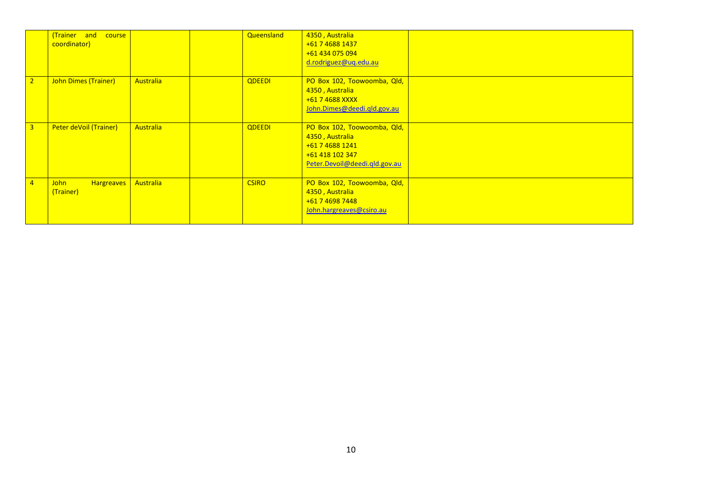|                | (Trainer and course<br>coordinator)           |                  | Queensland    | 4350, Australia<br>+61 7 4688 1437<br>+61 434 075 094<br>d.rodriguez@uq.edu.au                                        |  |
|----------------|-----------------------------------------------|------------------|---------------|-----------------------------------------------------------------------------------------------------------------------|--|
| 2 <sup>2</sup> | John Dimes (Trainer)                          | <b>Australia</b> | <b>QDEEDI</b> | PO Box 102, Toowoomba, Qld,<br>4350, Australia<br>+61 7 4688 XXXX<br>John.Dimes@deedi.gld.gov.au                      |  |
| $\overline{3}$ | Peter deVoil (Trainer)                        | <b>Australia</b> | <b>QDEEDI</b> | PO Box 102, Toowoomba, Qld,<br>4350, Australia<br>+61 7 4688 1241<br>+61 418 102 347<br>Peter.Devoil@deedi.qld.gov.au |  |
| $\overline{4}$ | <b>Hargreaves</b><br><b>John</b><br>(Trainer) | Australia        | <b>CSIRO</b>  | PO Box 102, Toowoomba, Qld,<br>4350, Australia<br>+61 7 4698 7448<br>John.hargreaves@csiro.au                         |  |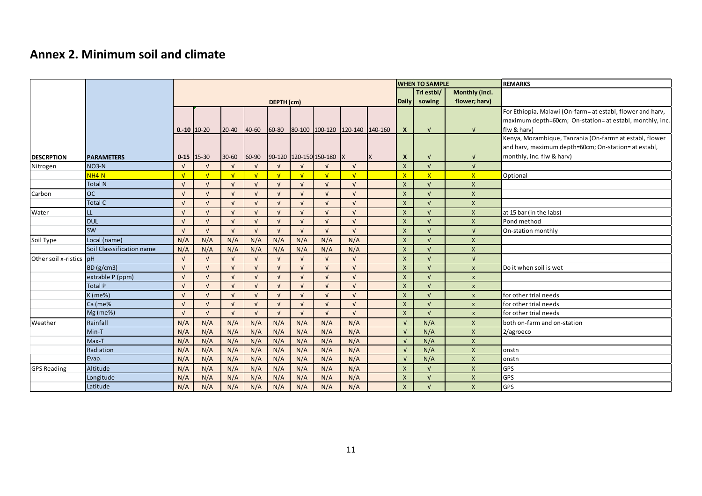# **Annex 2. Minimum soil and climate**

|                         |                           |              |                  |            |            |              | <b>WHEN TO SAMPLE</b> |                        | REMARKS         |              |                           |                         |                           |                                                            |
|-------------------------|---------------------------|--------------|------------------|------------|------------|--------------|-----------------------|------------------------|-----------------|--------------|---------------------------|-------------------------|---------------------------|------------------------------------------------------------|
|                         |                           |              |                  |            |            |              |                       |                        |                 |              |                           | Trl estbl/              | Monthly (incl.            |                                                            |
|                         |                           |              | DEPTH (cm)       |            |            |              |                       |                        |                 | Daily sowing | flower; harv)             |                         |                           |                                                            |
|                         |                           |              |                  |            |            |              |                       |                        |                 |              |                           |                         |                           | For Ethiopia, Malawi (On-farm= at establ, flower and harv, |
|                         |                           |              |                  |            |            |              |                       |                        |                 |              |                           |                         |                           | maximum depth=60cm; On-station= at establ, monthly, inc.   |
|                         |                           |              | $0. -10$ 10 - 20 | $20 - 40$  | 40-60      | 60-80        |                       | 80-100 100-120         | 120-140 140-160 |              | $\mathbf{x}$              | $\sqrt{ }$              | $\sqrt{ }$                | flw & harv)                                                |
|                         |                           |              |                  |            |            |              |                       |                        |                 |              |                           |                         |                           | Kenya, Mozambique, Tanzania (On-farm= at establ, flower    |
|                         |                           |              |                  |            |            |              |                       |                        |                 |              |                           |                         |                           | and harv, maximum depth=60cm; On-station= at establ,       |
| <b>DESCRPTION</b>       | <b>PARAMETERS</b>         |              | $0-15$ 15-30     | $30 - 60$  | 60-90      |              |                       | 90-120 120-150 150-180 | IX              | <b>X</b>     | $\boldsymbol{x}$          | $\sqrt{ }$              | $\sqrt{ }$                | monthly, inc. flw & harv)                                  |
| Nitrogen                | $NO3-N$                   | $\sqrt{ }$   | $\sqrt{ }$       | $\sqrt{ }$ | $\sqrt{ }$ | $\sqrt{ }$   | $\sqrt{ }$            | $\sqrt{ }$             | $\sqrt{ }$      |              | $\boldsymbol{\mathsf{X}}$ | $\sqrt{ }$              | $\sqrt{ }$                |                                                            |
|                         | NH4-N                     | $\sqrt{ }$   | $\sqrt{ }$       | $\sqrt{ }$ | $\sqrt{ }$ | $\sqrt{ }$   | $\sqrt{ }$            | $\sqrt{ }$             | $\sqrt{ }$      |              | $\overline{\mathsf{x}}$   | $\overline{\mathsf{x}}$ | $\overline{X}$            | Optional                                                   |
|                         | <b>Total N</b>            | $\sqrt{ }$   | $\sqrt{ }$       | $\sqrt{ }$ | $\sqrt{ }$ | $\sqrt{ }$   | $\sqrt{ }$            | $\sqrt{ }$             | $\sqrt{ }$      |              | $\mathsf{x}$              | $\sqrt{ }$              | $\boldsymbol{X}$          |                                                            |
| Carbon                  | <b>OC</b>                 | $\sqrt{ }$   | $\sqrt{ }$       | $\sqrt{ }$ | $\sqrt{ }$ | $\sqrt{ }$   | $\sqrt{ }$            | $\sqrt{ }$             | $\sqrt{ }$      |              | $\mathsf{x}$              | $\sqrt{ }$              | $\boldsymbol{\mathsf{x}}$ |                                                            |
|                         | <b>Total C</b>            | $\sqrt{ }$   | $\sqrt{ }$       | $\sqrt{ }$ | $\sqrt{ }$ | $\mathbf{v}$ | $\sqrt{ }$            | $\sqrt{ }$             | $\sqrt{ }$      |              | $\boldsymbol{\mathsf{X}}$ | $\overline{V}$          | $\boldsymbol{\mathsf{x}}$ |                                                            |
| Water                   | LL.                       | $\sqrt{ }$   | $\sqrt{ }$       | $\sqrt{ }$ | $\sqrt{ }$ | $\sqrt{ }$   | $\sqrt{ }$            | $\sqrt{ }$             | $\sqrt{ }$      |              | $\boldsymbol{\mathsf{X}}$ | $\sqrt{ }$              | $\boldsymbol{\mathsf{x}}$ | at 15 bar (in the labs)                                    |
|                         | <b>DUL</b>                | $\sqrt{ }$   | $\sqrt{ }$       | $\sqrt{ }$ | $\sqrt{ }$ | $\sqrt{ }$   | $\sqrt{ }$            | $\sqrt{ }$             | $\sqrt{ }$      |              | $\mathsf{x}$              | $\sqrt{ }$              | $\boldsymbol{\mathsf{x}}$ | Pond method                                                |
|                         | <b>SW</b>                 | $\sqrt{ }$   | $\sqrt{ }$       | $\sqrt{ }$ | $\sqrt{ }$ | $\sqrt{ }$   | $\sqrt{ }$            | $\sqrt{ }$             | $\sqrt{ }$      |              | $\mathsf{x}$              | $\sqrt{ }$              | $\sqrt{ }$                | On-station monthly                                         |
| Soil Type               | Local (name)              | N/A          | N/A              | N/A        | N/A        | N/A          | N/A                   | N/A                    | N/A             |              | $\mathsf{x}$              | $\sqrt{ }$              | $\boldsymbol{\mathsf{x}}$ |                                                            |
|                         | Soil Classsification name | N/A          | N/A              | N/A        | N/A        | N/A          | N/A                   | N/A                    | N/A             |              | $\boldsymbol{\mathsf{X}}$ | $\overline{V}$          | $\boldsymbol{\mathsf{X}}$ |                                                            |
| Other soil x-ristics pH |                           | $\sqrt{ }$   | $\sqrt{ }$       | $\sqrt{ }$ | $\sqrt{ }$ | $\sqrt{ }$   | $\sqrt{ }$            | $\sqrt{ }$             | $\sqrt{ }$      |              | $\mathsf{x}$              | $\sqrt{ }$              | $\sqrt{ }$                |                                                            |
|                         | BD(g/cm3)                 | $\sqrt{ }$   | $\sqrt{ }$       | $\sqrt{ }$ | $\sqrt{ }$ | $\sqrt{ }$   | $\sqrt{ }$            | $\sqrt{ }$             | $\sqrt{ }$      |              | $\mathsf{X}$              | $\sqrt{ }$              | $\boldsymbol{\mathsf{x}}$ | Do it when soil is wet                                     |
|                         | extrable P (ppm)          | $\sqrt{ }$   | $\sqrt{ }$       | $\sqrt{ }$ | $\sqrt{ }$ | $\sqrt{ }$   | $\sqrt{ }$            | $\sqrt{ }$             | $\sqrt{ }$      |              | $\boldsymbol{\mathsf{X}}$ | $\sqrt{ }$              | $\boldsymbol{x}$          |                                                            |
|                         | <b>Total P</b>            | $\mathbf{v}$ | $\sqrt{ }$       | $\sqrt{ }$ | $\sqrt{ }$ | $\sqrt{ }$   | $\sqrt{ }$            | $\sqrt{ }$             | $\sqrt{ }$      |              | $\mathsf{x}$              | $\sqrt{ }$              | $\pmb{\mathsf{x}}$        |                                                            |
|                         | $K$ (me%)                 | $\sqrt{ }$   | $\sqrt{ }$       | $\sqrt{ }$ | $\sqrt{ }$ | $\sqrt{ }$   | $\sqrt{ }$            | $\sqrt{ }$             | $\sqrt{ }$      |              | $\mathsf{x}$              | $\sqrt{ }$              | $\boldsymbol{x}$          | for other trial needs                                      |
|                         | Ca (me%                   | $\sqrt{ }$   | $\sqrt{ }$       | $\sqrt{ }$ | $\sqrt{ }$ | $\sqrt{ }$   | $\sqrt{ }$            | $\sqrt{ }$             | $\sqrt{ }$      |              | $\boldsymbol{\mathsf{x}}$ | $\sqrt{ }$              | $\boldsymbol{\mathsf{x}}$ | for other trial needs                                      |
|                         | Mg (me%)                  | $\sqrt{ }$   | $\sqrt{ }$       | $\sqrt{ }$ | $\sqrt{ }$ | $\sqrt{ }$   | $\sqrt{ }$            | $\mathbf{v}$           | $\sqrt{ }$      |              | $\mathsf{X}$              | $\sqrt{ }$              | $\boldsymbol{\mathsf{x}}$ | for other trial needs                                      |
| Weather                 | Rainfall                  | N/A          | N/A              | N/A        | N/A        | N/A          | N/A                   | N/A                    | N/A             |              | $\sqrt{ }$                | N/A                     | $\boldsymbol{\mathsf{x}}$ | both on-farm and on-station                                |
|                         | Min-T                     | N/A          | N/A              | N/A        | N/A        | N/A          | N/A                   | N/A                    | N/A             |              | $\sqrt{ }$                | N/A                     | $\boldsymbol{\mathsf{x}}$ | 2/agroeco                                                  |
|                         | $Max-T$                   | N/A          | N/A              | N/A        | N/A        | N/A          | N/A                   | N/A                    | N/A             |              | $\sqrt{ }$                | N/A                     | $\boldsymbol{\mathsf{x}}$ |                                                            |
|                         | Radiation                 | N/A          | N/A              | N/A        | N/A        | N/A          | N/A                   | N/A                    | N/A             |              | $\sqrt{ }$                | N/A                     | $\mathsf{x}$              | onstn                                                      |
|                         | Evap.                     | N/A          | N/A              | N/A        | N/A        | N/A          | N/A                   | N/A                    | N/A             |              | $\sqrt{ }$                | N/A                     | $\mathsf{X}$              | onstn                                                      |
| <b>GPS Reading</b>      | Altitude                  | N/A          | N/A              | N/A        | N/A        | N/A          | N/A                   | N/A                    | N/A             |              | X                         | $\sqrt{ }$              | $\boldsymbol{\mathsf{X}}$ | <b>GPS</b>                                                 |
|                         | Longitude                 | N/A          | N/A              | N/A        | N/A        | N/A          | N/A                   | N/A                    | N/A             |              | $\boldsymbol{\mathsf{X}}$ | $\sqrt{ }$              | $\boldsymbol{\mathsf{X}}$ | <b>GPS</b>                                                 |
|                         | Latitude                  | N/A          | N/A              | N/A        | N/A        | N/A          | N/A                   | N/A                    | N/A             |              | $\mathsf{X}$              | $\sqrt{ }$              | $\boldsymbol{\mathsf{x}}$ | <b>GPS</b>                                                 |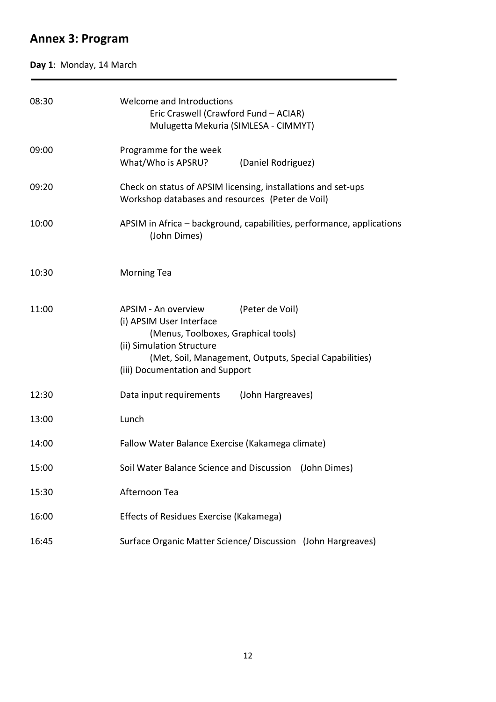# **Annex 3: Program**

# **Day 1**: Monday, 14 March

| 08:30 | Welcome and Introductions<br>Eric Craswell (Crawford Fund - ACIAR)<br>Mulugetta Mekuria (SIMLESA - CIMMYT)                                                                                                                          |  |  |  |  |  |  |  |
|-------|-------------------------------------------------------------------------------------------------------------------------------------------------------------------------------------------------------------------------------------|--|--|--|--|--|--|--|
| 09:00 | Programme for the week<br>What/Who is APSRU?<br>(Daniel Rodriguez)                                                                                                                                                                  |  |  |  |  |  |  |  |
| 09:20 | Check on status of APSIM licensing, installations and set-ups<br>Workshop databases and resources (Peter de Voil)                                                                                                                   |  |  |  |  |  |  |  |
| 10:00 | APSIM in Africa - background, capabilities, performance, applications<br>(John Dimes)                                                                                                                                               |  |  |  |  |  |  |  |
| 10:30 | <b>Morning Tea</b>                                                                                                                                                                                                                  |  |  |  |  |  |  |  |
| 11:00 | APSIM - An overview<br>(Peter de Voil)<br>(i) APSIM User Interface<br>(Menus, Toolboxes, Graphical tools)<br>(ii) Simulation Structure<br>(Met, Soil, Management, Outputs, Special Capabilities)<br>(iii) Documentation and Support |  |  |  |  |  |  |  |
| 12:30 | Data input requirements (John Hargreaves)                                                                                                                                                                                           |  |  |  |  |  |  |  |
| 13:00 | Lunch                                                                                                                                                                                                                               |  |  |  |  |  |  |  |
| 14:00 | Fallow Water Balance Exercise (Kakamega climate)                                                                                                                                                                                    |  |  |  |  |  |  |  |
| 15:00 | Soil Water Balance Science and Discussion (John Dimes)                                                                                                                                                                              |  |  |  |  |  |  |  |
| 15:30 | Afternoon Tea                                                                                                                                                                                                                       |  |  |  |  |  |  |  |
| 16:00 | Effects of Residues Exercise (Kakamega)                                                                                                                                                                                             |  |  |  |  |  |  |  |
| 16:45 | Surface Organic Matter Science/ Discussion (John Hargreaves)                                                                                                                                                                        |  |  |  |  |  |  |  |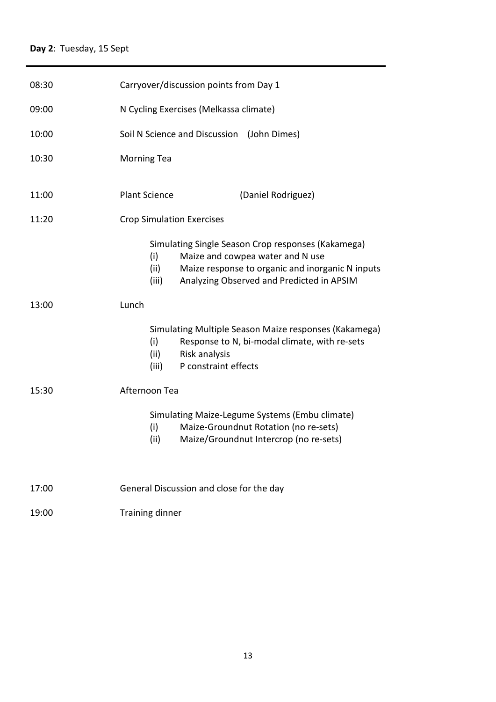| 08:30 | Carryover/discussion points from Day 1                                                                                                                                                                          |  |  |  |  |  |  |  |
|-------|-----------------------------------------------------------------------------------------------------------------------------------------------------------------------------------------------------------------|--|--|--|--|--|--|--|
| 09:00 | N Cycling Exercises (Melkassa climate)                                                                                                                                                                          |  |  |  |  |  |  |  |
| 10:00 | Soil N Science and Discussion (John Dimes)                                                                                                                                                                      |  |  |  |  |  |  |  |
| 10:30 | <b>Morning Tea</b>                                                                                                                                                                                              |  |  |  |  |  |  |  |
| 11:00 | <b>Plant Science</b><br>(Daniel Rodriguez)                                                                                                                                                                      |  |  |  |  |  |  |  |
| 11:20 | <b>Crop Simulation Exercises</b>                                                                                                                                                                                |  |  |  |  |  |  |  |
|       | Simulating Single Season Crop responses (Kakamega)<br>Maize and cowpea water and N use<br>(i)<br>Maize response to organic and inorganic N inputs<br>(ii)<br>Analyzing Observed and Predicted in APSIM<br>(iii) |  |  |  |  |  |  |  |
| 13:00 | Lunch                                                                                                                                                                                                           |  |  |  |  |  |  |  |
|       | Simulating Multiple Season Maize responses (Kakamega)<br>(i)<br>Response to N, bi-modal climate, with re-sets<br>Risk analysis<br>(ii)<br>P constraint effects<br>(iii)                                         |  |  |  |  |  |  |  |
| 15:30 | Afternoon Tea                                                                                                                                                                                                   |  |  |  |  |  |  |  |
|       | Simulating Maize-Legume Systems (Embu climate)<br>Maize-Groundnut Rotation (no re-sets)<br>(i)<br>(ii)<br>Maize/Groundnut Intercrop (no re-sets)                                                                |  |  |  |  |  |  |  |
| 17:00 | General Discussion and close for the day                                                                                                                                                                        |  |  |  |  |  |  |  |
| 19:00 | Training dinner                                                                                                                                                                                                 |  |  |  |  |  |  |  |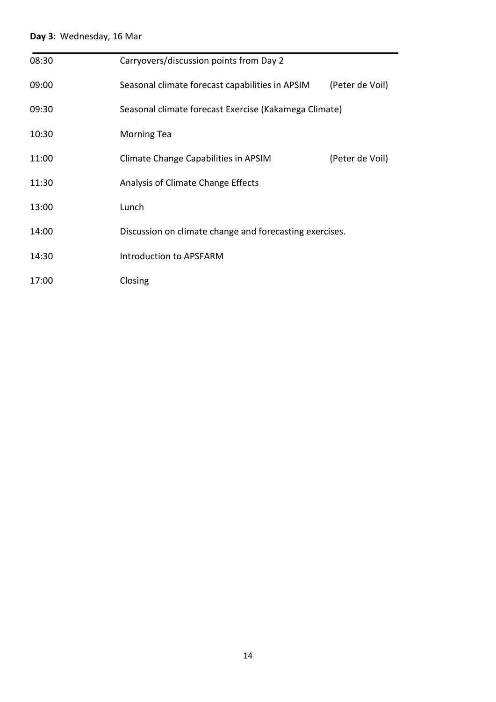# **Day 3**: Wednesday, 16 Mar

| 08:30 | Carryovers/discussion points from Day 2                 |                 |
|-------|---------------------------------------------------------|-----------------|
| 09:00 | Seasonal climate forecast capabilities in APSIM         | (Peter de Voil) |
| 09:30 | Seasonal climate forecast Exercise (Kakamega Climate)   |                 |
| 10:30 | <b>Morning Tea</b>                                      |                 |
| 11:00 | Climate Change Capabilities in APSIM                    | (Peter de Voil) |
| 11:30 | Analysis of Climate Change Effects                      |                 |
| 13:00 | Lunch                                                   |                 |
| 14:00 | Discussion on climate change and forecasting exercises. |                 |
| 14:30 | Introduction to APSFARM                                 |                 |
| 17:00 | Closing                                                 |                 |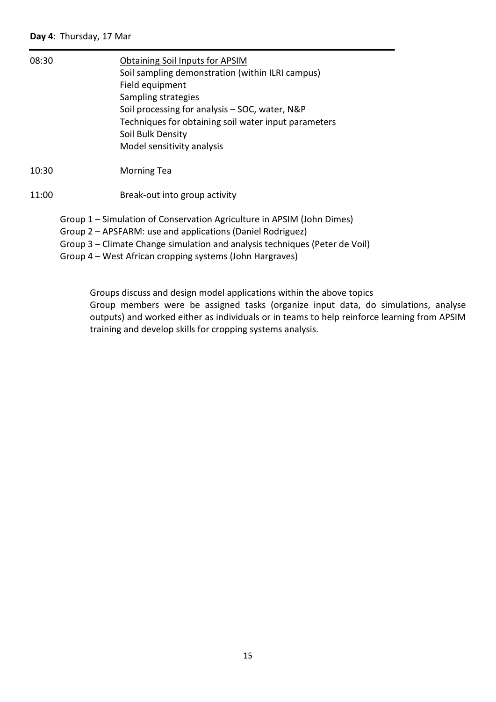| 08:30 | <b>Obtaining Soil Inputs for APSIM</b><br>Soil sampling demonstration (within ILRI campus)<br>Field equipment<br>Sampling strategies<br>Soil processing for analysis – SOC, water, N&P                                                                                          |
|-------|---------------------------------------------------------------------------------------------------------------------------------------------------------------------------------------------------------------------------------------------------------------------------------|
|       | Techniques for obtaining soil water input parameters<br>Soil Bulk Density                                                                                                                                                                                                       |
|       | Model sensitivity analysis                                                                                                                                                                                                                                                      |
| 10:30 | <b>Morning Tea</b>                                                                                                                                                                                                                                                              |
| 11:00 | Break-out into group activity                                                                                                                                                                                                                                                   |
|       | Group 1 – Simulation of Conservation Agriculture in APSIM (John Dimes)<br>Group 2 – APSFARM: use and applications (Daniel Rodriguez)<br>Group 3 – Climate Change simulation and analysis techniques (Peter de Voil)<br>Group 4 – West African cropping systems (John Hargraves) |

Groups discuss and design model applications within the above topics Group members were be assigned tasks (organize input data, do simulations, analyse outputs) and worked either as individuals or in teams to help reinforce learning from APSIM training and develop skills for cropping systems analysis.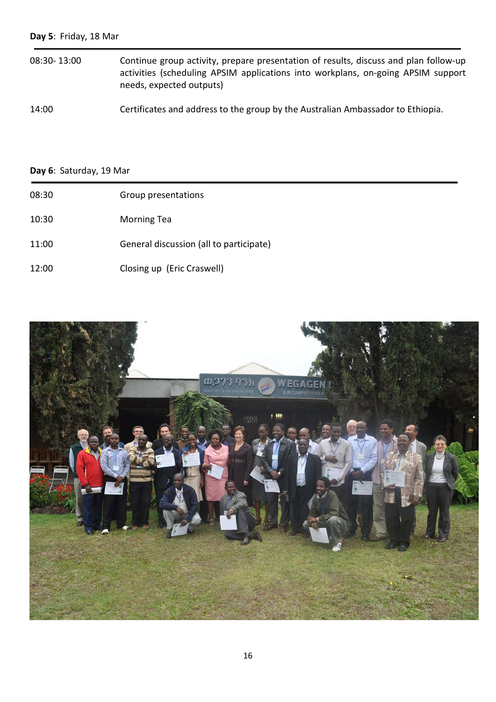# **Day 5**: Friday, 18 Mar

08:30- 13:00 Continue group activity, prepare presentation of results, discuss and plan follow-up activities (scheduling APSIM applications into workplans, on-going APSIM support needs, expected outputs)

14:00 Certificates and address to the group by the Australian Ambassador to Ethiopia.

# **Day 6**: Saturday, 19 Mar

| 08:30 | Group presentations                     |
|-------|-----------------------------------------|
| 10:30 | <b>Morning Tea</b>                      |
| 11:00 | General discussion (all to participate) |
| 12:00 | Closing up (Eric Craswell)              |

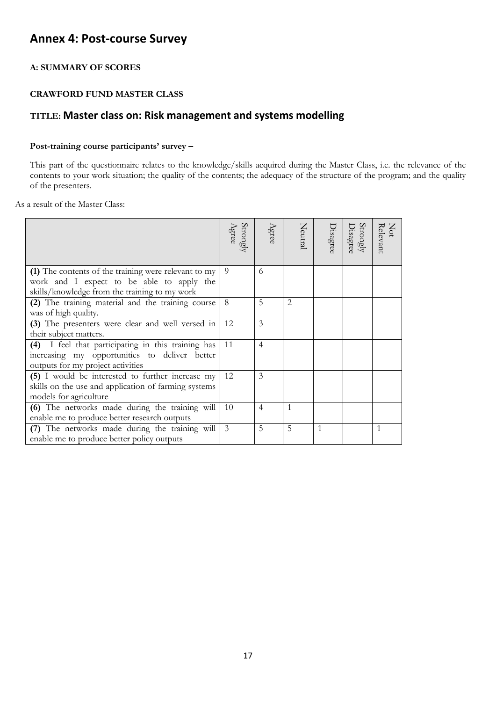# **Annex 4: Post-course Survey**

# **A: SUMMARY OF SCORES**

# **CRAWFORD FUND MASTER CLASS**

# **TITLE: Master class on: Risk management and systems modelling**

# **Post-training course participants' survey –**

This part of the questionnaire relates to the knowledge/skills acquired during the Master Class, i.e. the relevance of the contents to your work situation; the quality of the contents; the adequacy of the structure of the program; and the quality of the presenters.

As a result of the Master Class:

|                                                                                                                                          | Strongly<br>Agree | Agree          | Neutral | Disagree | $\frac{\text{Strongly}}{\text{Dissgreen}}$ | Not<br>Relevant |
|------------------------------------------------------------------------------------------------------------------------------------------|-------------------|----------------|---------|----------|--------------------------------------------|-----------------|
| (1) The contents of the training were relevant to my                                                                                     | 9                 | 6              |         |          |                                            |                 |
| work and I expect to be able to apply the<br>skills/knowledge from the training to my work                                               |                   |                |         |          |                                            |                 |
| (2) The training material and the training course<br>was of high quality.                                                                | 8                 | 5              | 2       |          |                                            |                 |
| (3) The presenters were clear and well versed in<br>their subject matters.                                                               | 12                | 3              |         |          |                                            |                 |
| (4) I feel that participating in this training has<br>increasing my opportunities to deliver better<br>outputs for my project activities | 11                | $\overline{4}$ |         |          |                                            |                 |
| (5) I would be interested to further increase my<br>skills on the use and application of farming systems<br>models for agriculture       | 12                | 3              |         |          |                                            |                 |
| (6) The networks made during the training will<br>enable me to produce better research outputs                                           | 10                | $\overline{4}$ | 1       |          |                                            |                 |
| (7) The networks made during the training will<br>enable me to produce better policy outputs                                             | 3                 | 5              | 5       | 1        |                                            |                 |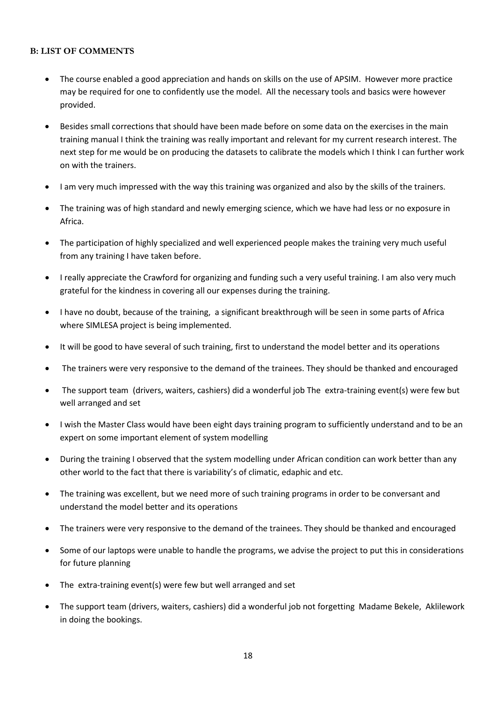# **B: LIST OF COMMENTS**

- The course enabled a good appreciation and hands on skills on the use of APSIM. However more practice may be required for one to confidently use the model. All the necessary tools and basics were however provided.
- Besides small corrections that should have been made before on some data on the exercises in the main training manual I think the training was really important and relevant for my current research interest. The next step for me would be on producing the datasets to calibrate the models which I think I can further work on with the trainers.
- I am very much impressed with the way this training was organized and also by the skills of the trainers.
- The training was of high standard and newly emerging science, which we have had less or no exposure in Africa.
- The participation of highly specialized and well experienced people makes the training very much useful from any training I have taken before.
- I really appreciate the Crawford for organizing and funding such a very useful training. I am also very much grateful for the kindness in covering all our expenses during the training.
- I have no doubt, because of the training, a significant breakthrough will be seen in some parts of Africa where SIMLESA project is being implemented.
- It will be good to have several of such training, first to understand the model better and its operations
- The trainers were very responsive to the demand of the trainees. They should be thanked and encouraged
- The support team (drivers, waiters, cashiers) did a wonderful job The extra-training event(s) were few but well arranged and set
- I wish the Master Class would have been eight days training program to sufficiently understand and to be an expert on some important element of system modelling
- During the training I observed that the system modelling under African condition can work better than any other world to the fact that there is variability's of climatic, edaphic and etc.
- The training was excellent, but we need more of such training programs in order to be conversant and understand the model better and its operations
- The trainers were very responsive to the demand of the trainees. They should be thanked and encouraged
- Some of our laptops were unable to handle the programs, we advise the project to put this in considerations for future planning
- The extra-training event(s) were few but well arranged and set
- The support team (drivers, waiters, cashiers) did a wonderful job not forgetting Madame Bekele, Aklilework in doing the bookings.